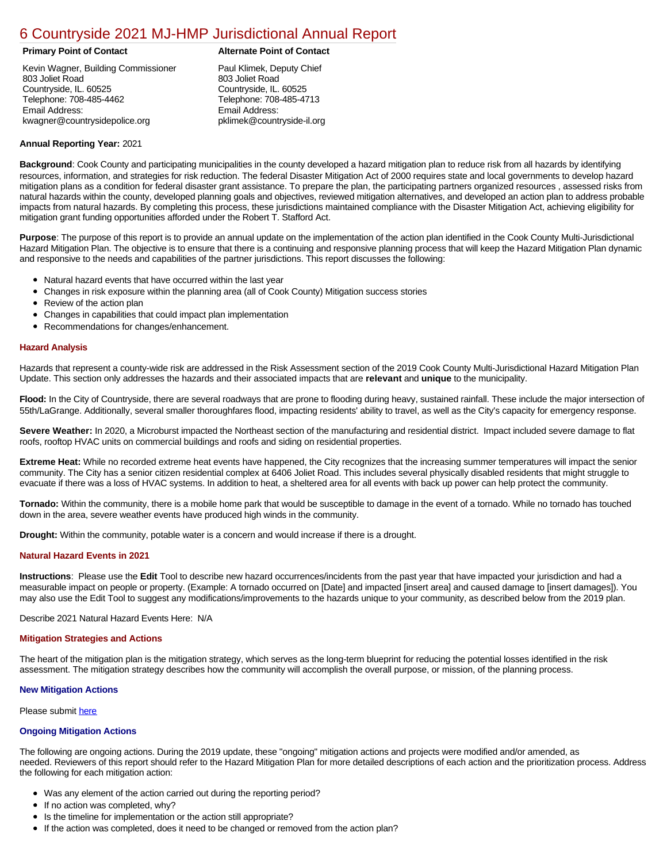# [6 Countryside 2021 MJ-HMP Jurisdictional Annual Report](https://countryside.isc-cemp.com/Cemp/Details?id=8322735)

Kevin Wagner, Building Commissioner 803 Joliet Road Countryside, IL. 60525 Telephone: 708-485-4462 Email Address: kwagner@countrysidepolice.org

# **Primary Point of Contact Alternate Point of Contact**

Paul Klimek, Deputy Chief 803 Joliet Road Countryside, IL. 60525 Telephone: 708-485-4713 Email Address: pklimek@countryside-il.org

## **Annual Reporting Year:** 2021

**Background**: Cook County and participating municipalities in the county developed a hazard mitigation plan to reduce risk from all hazards by identifying resources, information, and strategies for risk reduction. The federal Disaster Mitigation Act of 2000 requires state and local governments to develop hazard mitigation plans as a condition for federal disaster grant assistance. To prepare the plan, the participating partners organized resources , assessed risks from natural hazards within the county, developed planning goals and objectives, reviewed mitigation alternatives, and developed an action plan to address probable impacts from natural hazards. By completing this process, these jurisdictions maintained compliance with the Disaster Mitigation Act, achieving eligibility for mitigation grant funding opportunities afforded under the Robert T. Stafford Act.

**Purpose**: The purpose of this report is to provide an annual update on the implementation of the action plan identified in the Cook County Multi-Jurisdictional Hazard Mitigation Plan. The objective is to ensure that there is a continuing and responsive planning process that will keep the Hazard Mitigation Plan dynamic and responsive to the needs and capabilities of the partner jurisdictions. This report discusses the following:

- Natural hazard events that have occurred within the last year
- $\bullet$ Changes in risk exposure within the planning area (all of Cook County) Mitigation success stories
- $\bullet$ Review of the action plan
- Changes in capabilities that could impact plan implementation
- Recommendations for changes/enhancement.

### **Hazard Analysis**

Hazards that represent a county-wide risk are addressed in the Risk Assessment section of the 2019 Cook County Multi-Jurisdictional Hazard Mitigation Plan Update. This section only addresses the hazards and their associated impacts that are **relevant** and **unique** to the municipality.

**Flood:** In the City of Countryside, there are several roadways that are prone to flooding during heavy, sustained rainfall. These include the major intersection of 55th/LaGrange. Additionally, several smaller thoroughfares flood, impacting residents' ability to travel, as well as the City's capacity for emergency response.

Severe Weather: In 2020, a Microburst impacted the Northeast section of the manufacturing and residential district. Impact included severe damage to flat roofs, rooftop HVAC units on commercial buildings and roofs and siding on residential properties.

**Extreme Heat:** While no recorded extreme heat events have happened, the City recognizes that the increasing summer temperatures will impact the senior community. The City has a senior citizen residential complex at 6406 Joliet Road. This includes several physically disabled residents that might struggle to evacuate if there was a loss of HVAC systems. In addition to heat, a sheltered area for all events with back up power can help protect the community.

**Tornado:** Within the community, there is a mobile home park that would be susceptible to damage in the event of a tornado. While no tornado has touched down in the area, severe weather events have produced high winds in the community.

**Drought:** Within the community, potable water is a concern and would increase if there is a drought.

# **Natural Hazard Events in 2021**

**Instructions**: Please use the **Edit** Tool to describe new hazard occurrences/incidents from the past year that have impacted your jurisdiction and had a measurable impact on people or property. (Example: A tornado occurred on [Date] and impacted [insert area] and caused damage to [insert damages]). You may also use the Edit Tool to suggest any modifications/improvements to the hazards unique to your community, as described below from the 2019 plan.

Describe 2021 Natural Hazard Events Here: N/A

#### **Mitigation Strategies and Actions**

The heart of the mitigation plan is the mitigation strategy, which serves as the long-term blueprint for reducing the potential losses identified in the risk assessment. The mitigation strategy describes how the community will accomplish the overall purpose, or mission, of the planning process.

#### **New Mitigation Actions**

Please submit [here](https://integratedsolutions.wufoo.com/forms/mg21jvf0jn639o/)

#### **Ongoing Mitigation Actions**

The following are ongoing actions. During the 2019 update, these "ongoing" mitigation actions and projects were modified and/or amended, as needed. Reviewers of this report should refer to the Hazard Mitigation Plan for more detailed descriptions of each action and the prioritization process. Address the following for each mitigation action:

- Was any element of the action carried out during the reporting period?
- If no action was completed, why?
- Is the timeline for implementation or the action still appropriate?
- If the action was completed, does it need to be changed or removed from the action plan?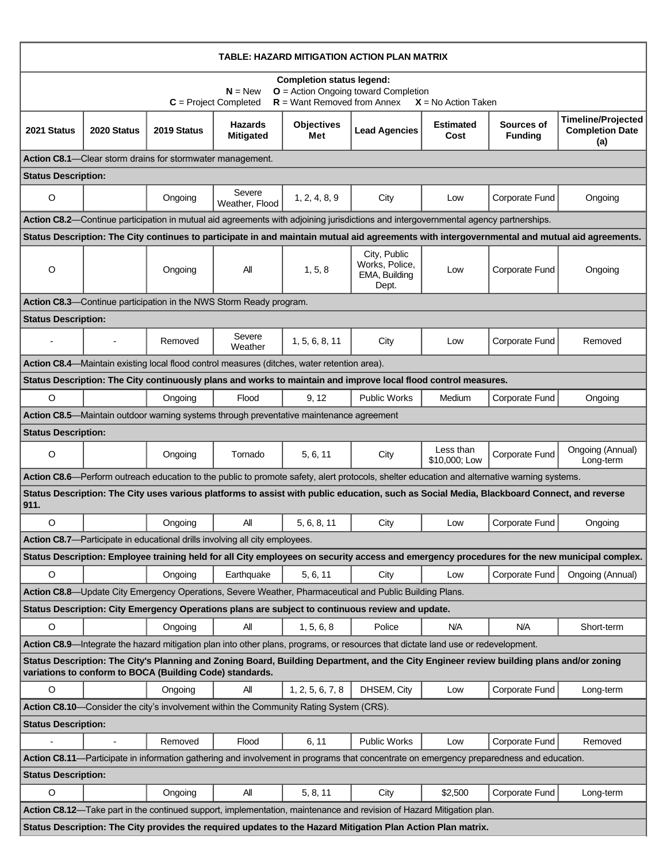| TABLE: HAZARD MITIGATION ACTION PLAN MATRIX                                                                                                                                                          |                |                                                           |                                                                                             |                          |                                                                                                                                             |                            |                              |                                                                                                                                               |  |
|------------------------------------------------------------------------------------------------------------------------------------------------------------------------------------------------------|----------------|-----------------------------------------------------------|---------------------------------------------------------------------------------------------|--------------------------|---------------------------------------------------------------------------------------------------------------------------------------------|----------------------------|------------------------------|-----------------------------------------------------------------------------------------------------------------------------------------------|--|
| <b>Completion status legend:</b><br>$N = New$<br>$O =$ Action Ongoing toward Completion<br>$R =$ Want Removed from Annex<br>$C = Project Completed$<br>$X = No$ Action Taken                         |                |                                                           |                                                                                             |                          |                                                                                                                                             |                            |                              |                                                                                                                                               |  |
| 2021 Status                                                                                                                                                                                          | 2020 Status    | 2019 Status                                               | <b>Hazards</b><br><b>Mitigated</b>                                                          | <b>Objectives</b><br>Met | <b>Lead Agencies</b>                                                                                                                        | <b>Estimated</b><br>Cost   | Sources of<br><b>Funding</b> | <b>Timeline/Projected</b><br><b>Completion Date</b><br>(a)                                                                                    |  |
|                                                                                                                                                                                                      |                | Action C8.1-Clear storm drains for stormwater management. |                                                                                             |                          |                                                                                                                                             |                            |                              |                                                                                                                                               |  |
| <b>Status Description:</b>                                                                                                                                                                           |                |                                                           |                                                                                             |                          |                                                                                                                                             |                            |                              |                                                                                                                                               |  |
| O                                                                                                                                                                                                    |                | Ongoing                                                   | Severe<br>Weather, Flood                                                                    | 1, 2, 4, 8, 9            | City                                                                                                                                        | Low                        | Corporate Fund               | Ongoing                                                                                                                                       |  |
|                                                                                                                                                                                                      |                |                                                           |                                                                                             |                          | Action C8.2-Continue participation in mutual aid agreements with adjoining jurisdictions and intergovernmental agency partnerships.         |                            |                              |                                                                                                                                               |  |
|                                                                                                                                                                                                      |                |                                                           |                                                                                             |                          |                                                                                                                                             |                            |                              | Status Description: The City continues to participate in and maintain mutual aid agreements with intergovernmental and mutual aid agreements. |  |
| O                                                                                                                                                                                                    |                | Ongoing                                                   | All                                                                                         | 1, 5, 8                  | City, Public<br>Works, Police,<br>EMA, Building<br>Dept.                                                                                    | Low                        | Corporate Fund               | Ongoing                                                                                                                                       |  |
|                                                                                                                                                                                                      |                |                                                           | Action C8.3—Continue participation in the NWS Storm Ready program.                          |                          |                                                                                                                                             |                            |                              |                                                                                                                                               |  |
| <b>Status Description:</b>                                                                                                                                                                           |                |                                                           |                                                                                             |                          |                                                                                                                                             |                            |                              |                                                                                                                                               |  |
|                                                                                                                                                                                                      |                | Removed                                                   | Severe<br>Weather                                                                           | 1, 5, 6, 8, 11           | City                                                                                                                                        | Low                        | Corporate Fund               | Removed                                                                                                                                       |  |
|                                                                                                                                                                                                      |                |                                                           | Action C8.4—Maintain existing local flood control measures (ditches, water retention area). |                          |                                                                                                                                             |                            |                              |                                                                                                                                               |  |
| Status Description: The City continuously plans and works to maintain and improve local flood control measures.                                                                                      |                |                                                           |                                                                                             |                          |                                                                                                                                             |                            |                              |                                                                                                                                               |  |
| $\circ$                                                                                                                                                                                              |                | Ongoing                                                   | Flood                                                                                       | 9, 12                    | <b>Public Works</b>                                                                                                                         | Medium                     | Corporate Fund               | Ongoing                                                                                                                                       |  |
|                                                                                                                                                                                                      |                |                                                           | Action C8.5—Maintain outdoor warning systems through preventative maintenance agreement     |                          |                                                                                                                                             |                            |                              |                                                                                                                                               |  |
| <b>Status Description:</b>                                                                                                                                                                           |                |                                                           |                                                                                             |                          |                                                                                                                                             |                            |                              |                                                                                                                                               |  |
| $\circ$                                                                                                                                                                                              |                | Ongoing                                                   | Tornado                                                                                     | 5, 6, 11                 | City                                                                                                                                        | Less than<br>\$10,000; Low | Corporate Fund               | Ongoing (Annual)<br>Long-term                                                                                                                 |  |
|                                                                                                                                                                                                      |                |                                                           |                                                                                             |                          | Action C8.6—Perform outreach education to the public to promote safety, alert protocols, shelter education and alternative warning systems. |                            |                              |                                                                                                                                               |  |
| 911.                                                                                                                                                                                                 |                |                                                           |                                                                                             |                          | Status Description: The City uses various platforms to assist with public education, such as Social Media, Blackboard Connect, and reverse  |                            |                              |                                                                                                                                               |  |
| $\circ$                                                                                                                                                                                              |                | Ongoing                                                   | All                                                                                         | 5, 6, 8, 11              | City                                                                                                                                        | Low                        | Corporate Fund               | Ongoing                                                                                                                                       |  |
|                                                                                                                                                                                                      |                |                                                           | Action C8.7-Participate in educational drills involving all city employees.                 |                          |                                                                                                                                             |                            |                              |                                                                                                                                               |  |
|                                                                                                                                                                                                      |                |                                                           |                                                                                             |                          |                                                                                                                                             |                            |                              | Status Description: Employee training held for all City employees on security access and emergency procedures for the new municipal complex.  |  |
| $\circ$                                                                                                                                                                                              |                | Ongoing                                                   | Earthquake                                                                                  | 5, 6, 11                 | City                                                                                                                                        | Low                        | Corporate Fund               | Ongoing (Annual)                                                                                                                              |  |
|                                                                                                                                                                                                      |                |                                                           |                                                                                             |                          | Action C8.8—Update City Emergency Operations, Severe Weather, Pharmaceutical and Public Building Plans.                                     |                            |                              |                                                                                                                                               |  |
|                                                                                                                                                                                                      |                |                                                           |                                                                                             |                          | Status Description: City Emergency Operations plans are subject to continuous review and update.                                            |                            |                              |                                                                                                                                               |  |
| $\circ$                                                                                                                                                                                              |                | Ongoing                                                   | All                                                                                         | 1, 5, 6, 8               | Police                                                                                                                                      | <b>N/A</b>                 | <b>N/A</b>                   | Short-term                                                                                                                                    |  |
| Action C8.9-Integrate the hazard mitigation plan into other plans, programs, or resources that dictate land use or redevelopment.                                                                    |                |                                                           |                                                                                             |                          |                                                                                                                                             |                            |                              |                                                                                                                                               |  |
| Status Description: The City's Planning and Zoning Board, Building Department, and the City Engineer review building plans and/or zoning<br>variations to conform to BOCA (Building Code) standards. |                |                                                           |                                                                                             |                          |                                                                                                                                             |                            |                              |                                                                                                                                               |  |
| $\circ$                                                                                                                                                                                              |                | Ongoing                                                   | All                                                                                         | 1, 2, 5, 6, 7, 8         | DHSEM, City                                                                                                                                 | Low                        | Corporate Fund               | Long-term                                                                                                                                     |  |
| Action C8.10—Consider the city's involvement within the Community Rating System (CRS).                                                                                                               |                |                                                           |                                                                                             |                          |                                                                                                                                             |                            |                              |                                                                                                                                               |  |
| <b>Status Description:</b>                                                                                                                                                                           |                |                                                           |                                                                                             |                          |                                                                                                                                             |                            |                              |                                                                                                                                               |  |
|                                                                                                                                                                                                      | $\blacksquare$ | Removed                                                   | Flood                                                                                       | 6, 11                    | Public Works                                                                                                                                | Low                        | Corporate Fund               | Removed                                                                                                                                       |  |
| Action C8.11-Participate in information gathering and involvement in programs that concentrate on emergency preparedness and education.                                                              |                |                                                           |                                                                                             |                          |                                                                                                                                             |                            |                              |                                                                                                                                               |  |
| <b>Status Description:</b>                                                                                                                                                                           |                |                                                           |                                                                                             |                          |                                                                                                                                             |                            |                              |                                                                                                                                               |  |
| $\circ$                                                                                                                                                                                              |                | Ongoing                                                   | All                                                                                         | 5, 8, 11                 | City                                                                                                                                        | \$2,500                    | Corporate Fund               | Long-term                                                                                                                                     |  |
| Action C8.12-Take part in the continued support, implementation, maintenance and revision of Hazard Mitigation plan.                                                                                 |                |                                                           |                                                                                             |                          |                                                                                                                                             |                            |                              |                                                                                                                                               |  |
| Status Description: The City provides the required updates to the Hazard Mitigation Plan Action Plan matrix.                                                                                         |                |                                                           |                                                                                             |                          |                                                                                                                                             |                            |                              |                                                                                                                                               |  |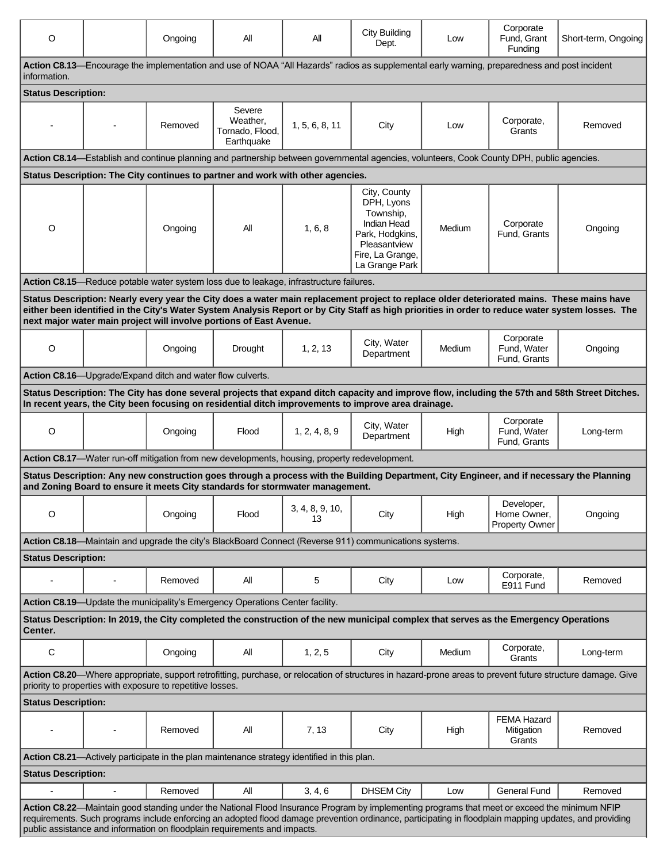| O                                                                                                                                                                                                                                                                                                                                                                                   |   | Ongoing                                                    | All                                                                                                   | Αll                   | <b>City Building</b><br>Dept.                                                                                                             | Low    | Corporate<br>Fund, Grant<br>Funding                | Short-term, Ongoing                                                                                                                        |  |
|-------------------------------------------------------------------------------------------------------------------------------------------------------------------------------------------------------------------------------------------------------------------------------------------------------------------------------------------------------------------------------------|---|------------------------------------------------------------|-------------------------------------------------------------------------------------------------------|-----------------------|-------------------------------------------------------------------------------------------------------------------------------------------|--------|----------------------------------------------------|--------------------------------------------------------------------------------------------------------------------------------------------|--|
| Action C8.13—Encourage the implementation and use of NOAA "All Hazards" radios as supplemental early warning, preparedness and post incident<br>information.                                                                                                                                                                                                                        |   |                                                            |                                                                                                       |                       |                                                                                                                                           |        |                                                    |                                                                                                                                            |  |
| <b>Status Description:</b>                                                                                                                                                                                                                                                                                                                                                          |   |                                                            |                                                                                                       |                       |                                                                                                                                           |        |                                                    |                                                                                                                                            |  |
|                                                                                                                                                                                                                                                                                                                                                                                     |   | Removed                                                    | Severe<br>Weather,<br>Tornado, Flood,<br>Earthquake                                                   | 1, 5, 6, 8, 11        | City                                                                                                                                      | Low    | Corporate,<br>Grants                               | Removed                                                                                                                                    |  |
|                                                                                                                                                                                                                                                                                                                                                                                     |   |                                                            |                                                                                                       |                       | Action C8.14-Establish and continue planning and partnership between governmental agencies, volunteers, Cook County DPH, public agencies. |        |                                                    |                                                                                                                                            |  |
|                                                                                                                                                                                                                                                                                                                                                                                     |   |                                                            | Status Description: The City continues to partner and work with other agencies.                       |                       |                                                                                                                                           |        |                                                    |                                                                                                                                            |  |
| O                                                                                                                                                                                                                                                                                                                                                                                   |   | Ongoing                                                    | All                                                                                                   | 1, 6, 8               | City, County<br>DPH, Lyons<br>Township,<br><b>Indian Head</b><br>Park, Hodgkins,<br>Pleasantview<br>Fire, La Grange,<br>La Grange Park    | Medium | Corporate<br>Fund, Grants                          | Ongoing                                                                                                                                    |  |
|                                                                                                                                                                                                                                                                                                                                                                                     |   |                                                            | Action C8.15—Reduce potable water system loss due to leakage, infrastructure failures.                |                       |                                                                                                                                           |        |                                                    |                                                                                                                                            |  |
| Status Description: Nearly every year the City does a water main replacement project to replace older deteriorated mains. These mains have<br>either been identified in the City's Water System Analysis Report or by City Staff as high priorities in order to reduce water system losses. The<br>next major water main project will involve portions of East Avenue.              |   |                                                            |                                                                                                       |                       |                                                                                                                                           |        |                                                    |                                                                                                                                            |  |
| O                                                                                                                                                                                                                                                                                                                                                                                   |   | Ongoing                                                    | Drought                                                                                               | 1, 2, 13              | City, Water<br>Department                                                                                                                 | Medium | Corporate<br>Fund, Water<br>Fund, Grants           | Ongoing                                                                                                                                    |  |
|                                                                                                                                                                                                                                                                                                                                                                                     |   | Action C8.16—Upgrade/Expand ditch and water flow culverts. |                                                                                                       |                       |                                                                                                                                           |        |                                                    |                                                                                                                                            |  |
| Status Description: The City has done several projects that expand ditch capacity and improve flow, including the 57th and 58th Street Ditches.<br>In recent years, the City been focusing on residential ditch improvements to improve area drainage.                                                                                                                              |   |                                                            |                                                                                                       |                       |                                                                                                                                           |        |                                                    |                                                                                                                                            |  |
| O                                                                                                                                                                                                                                                                                                                                                                                   |   | Ongoing                                                    | Flood                                                                                                 | 1, 2, 4, 8, 9         | City, Water<br>Department                                                                                                                 | High   | Corporate<br>Fund, Water<br>Fund, Grants           | Long-term                                                                                                                                  |  |
|                                                                                                                                                                                                                                                                                                                                                                                     |   |                                                            | <b>Action C8.17</b> —Water run-off mitigation from new developments, housing, property redevelopment. |                       |                                                                                                                                           |        |                                                    |                                                                                                                                            |  |
|                                                                                                                                                                                                                                                                                                                                                                                     |   |                                                            | and Zoning Board to ensure it meets City standards for stormwater management.                         |                       |                                                                                                                                           |        |                                                    | Status Description: Any new construction goes through a process with the Building Department, City Engineer, and if necessary the Planning |  |
| O                                                                                                                                                                                                                                                                                                                                                                                   |   | Ongoing                                                    | Flood                                                                                                 | 3, 4, 8, 9, 10,<br>13 | City                                                                                                                                      | High   | Developer.<br>Home Owner,<br><b>Property Owner</b> | Ongoing                                                                                                                                    |  |
| Action C8.18-Maintain and upgrade the city's BlackBoard Connect (Reverse 911) communications systems.                                                                                                                                                                                                                                                                               |   |                                                            |                                                                                                       |                       |                                                                                                                                           |        |                                                    |                                                                                                                                            |  |
| <b>Status Description:</b>                                                                                                                                                                                                                                                                                                                                                          |   |                                                            |                                                                                                       |                       |                                                                                                                                           |        |                                                    |                                                                                                                                            |  |
|                                                                                                                                                                                                                                                                                                                                                                                     | - | Removed                                                    | All                                                                                                   | 5                     | City                                                                                                                                      | Low    | Corporate,<br>E911 Fund                            | Removed                                                                                                                                    |  |
|                                                                                                                                                                                                                                                                                                                                                                                     |   |                                                            | Action C8.19-Update the municipality's Emergency Operations Center facility.                          |                       |                                                                                                                                           |        |                                                    |                                                                                                                                            |  |
| Status Description: In 2019, the City completed the construction of the new municipal complex that serves as the Emergency Operations<br>Center.                                                                                                                                                                                                                                    |   |                                                            |                                                                                                       |                       |                                                                                                                                           |        |                                                    |                                                                                                                                            |  |
| С                                                                                                                                                                                                                                                                                                                                                                                   |   | Ongoing                                                    | All                                                                                                   | 1, 2, 5               | City                                                                                                                                      | Medium | Corporate,<br>Grants                               | Long-term                                                                                                                                  |  |
| Action C8.20-Where appropriate, support retrofitting, purchase, or relocation of structures in hazard-prone areas to prevent future structure damage. Give<br>priority to properties with exposure to repetitive losses.                                                                                                                                                            |   |                                                            |                                                                                                       |                       |                                                                                                                                           |        |                                                    |                                                                                                                                            |  |
| <b>Status Description:</b>                                                                                                                                                                                                                                                                                                                                                          |   |                                                            |                                                                                                       |                       |                                                                                                                                           |        |                                                    |                                                                                                                                            |  |
|                                                                                                                                                                                                                                                                                                                                                                                     |   | Removed                                                    | All                                                                                                   | 7, 13                 | City                                                                                                                                      | High   | <b>FEMA Hazard</b><br>Mitigation<br>Grants         | Removed                                                                                                                                    |  |
| Action C8.21—Actively participate in the plan maintenance strategy identified in this plan.                                                                                                                                                                                                                                                                                         |   |                                                            |                                                                                                       |                       |                                                                                                                                           |        |                                                    |                                                                                                                                            |  |
| <b>Status Description:</b>                                                                                                                                                                                                                                                                                                                                                          |   |                                                            |                                                                                                       |                       |                                                                                                                                           |        |                                                    |                                                                                                                                            |  |
|                                                                                                                                                                                                                                                                                                                                                                                     |   | Removed                                                    | All                                                                                                   | 3, 4, 6               | <b>DHSEM City</b>                                                                                                                         | Low    | <b>General Fund</b>                                | Removed                                                                                                                                    |  |
| Action C8.22-Maintain good standing under the National Flood Insurance Program by implementing programs that meet or exceed the minimum NFIP<br>requirements. Such programs include enforcing an adopted flood damage prevention ordinance, participating in floodplain mapping updates, and providing<br>public assistance and information on floodplain requirements and impacts. |   |                                                            |                                                                                                       |                       |                                                                                                                                           |        |                                                    |                                                                                                                                            |  |